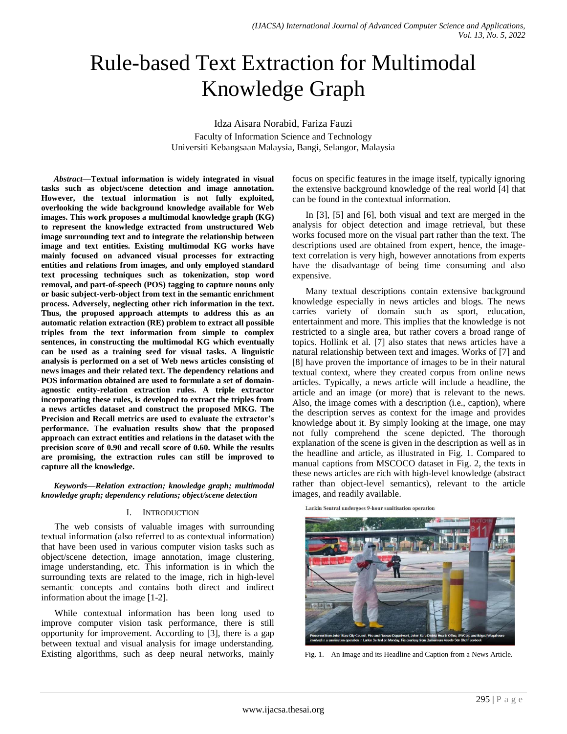# Rule-based Text Extraction for Multimodal Knowledge Graph

Idza Aisara Norabid, Fariza Fauzi Faculty of Information Science and Technology Universiti Kebangsaan Malaysia, Bangi, Selangor, Malaysia

*Abstract***—Textual information is widely integrated in visual tasks such as object/scene detection and image annotation. However, the textual information is not fully exploited, overlooking the wide background knowledge available for Web images. This work proposes a multimodal knowledge graph (KG) to represent the knowledge extracted from unstructured Web image surrounding text and to integrate the relationship between image and text entities. Existing multimodal KG works have mainly focused on advanced visual processes for extracting entities and relations from images, and only employed standard text processing techniques such as tokenization, stop word removal, and part-of-speech (POS) tagging to capture nouns only or basic subject-verb-object from text in the semantic enrichment process. Adversely, neglecting other rich information in the text. Thus, the proposed approach attempts to address this as an automatic relation extraction (RE) problem to extract all possible triples from the text information from simple to complex sentences, in constructing the multimodal KG which eventually can be used as a training seed for visual tasks. A linguistic analysis is performed on a set of Web news articles consisting of news images and their related text. The dependency relations and POS information obtained are used to formulate a set of domainagnostic entity-relation extraction rules. A triple extractor incorporating these rules, is developed to extract the triples from a news articles dataset and construct the proposed MKG. The Precision and Recall metrics are used to evaluate the extractor's performance. The evaluation results show that the proposed approach can extract entities and relations in the dataset with the precision score of 0.90 and recall score of 0.60. While the results are promising, the extraction rules can still be improved to capture all the knowledge.**

*Keywords—Relation extraction; knowledge graph; multimodal knowledge graph; dependency relations; object/scene detection*

### I. INTRODUCTION

The web consists of valuable images with surrounding textual information (also referred to as contextual information) that have been used in various computer vision tasks such as object/scene detection, image annotation, image clustering, image understanding, etc. This information is in which the surrounding texts are related to the image, rich in high-level semantic concepts and contains both direct and indirect information about the image [1-2].

While contextual information has been long used to improve computer vision task performance, there is still opportunity for improvement. According to [3], there is a gap between textual and visual analysis for image understanding. Existing algorithms, such as deep neural networks, mainly focus on specific features in the image itself, typically ignoring the extensive background knowledge of the real world [4] that can be found in the contextual information.

In [3], [5] and [6], both visual and text are merged in the analysis for object detection and image retrieval, but these works focused more on the visual part rather than the text. The descriptions used are obtained from expert, hence, the imagetext correlation is very high, however annotations from experts have the disadvantage of being time consuming and also expensive.

Many textual descriptions contain extensive background knowledge especially in news articles and blogs. The news carries variety of domain such as sport, education, entertainment and more. This implies that the knowledge is not restricted to a single area, but rather covers a broad range of topics. Hollink et al. [7] also states that news articles have a natural relationship between text and images. Works of [7] and [8] have proven the importance of images to be in their natural textual context, where they created corpus from online news articles. Typically, a news article will include a headline, the article and an image (or more) that is relevant to the news. Also, the image comes with a description (i.e., caption), where the description serves as context for the image and provides knowledge about it. By simply looking at the image, one may not fully comprehend the scene depicted. The thorough explanation of the scene is given in the description as well as in the headline and article, as illustrated in Fig. 1. Compared to manual captions from MSCOCO dataset in Fig. 2, the texts in these news articles are rich with high-level knowledge (abstract rather than object-level semantics), relevant to the article images, and readily available.

Larkin Sentral undergoes 9-hour sanitisation operation



Fig. 1. An Image and its Headline and Caption from a News Article.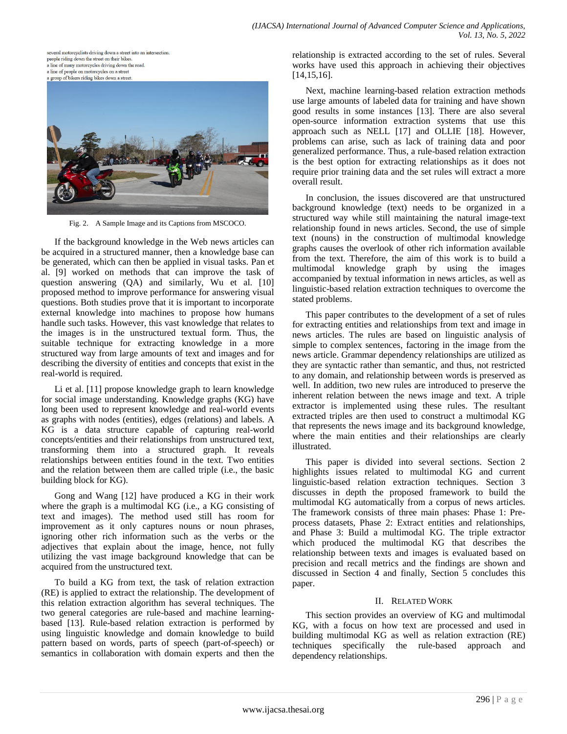several motorcyclists driving down a street into an intersection. people riding down the street on their bikes. a line of many motorcycles driving down the road. a line of people on motorcycles on a street a group of bikers riding bikes down a street.



Fig. 2. A Sample Image and its Captions from MSCOCO.

If the background knowledge in the Web news articles can be acquired in a structured manner, then a knowledge base can be generated, which can then be applied in visual tasks. Pan et al. [9] worked on methods that can improve the task of question answering (QA) and similarly, Wu et al. [10] proposed method to improve performance for answering visual questions. Both studies prove that it is important to incorporate external knowledge into machines to propose how humans handle such tasks. However, this vast knowledge that relates to the images is in the unstructured textual form. Thus, the suitable technique for extracting knowledge in a more structured way from large amounts of text and images and for describing the diversity of entities and concepts that exist in the real-world is required.

Li et al. [11] propose knowledge graph to learn knowledge for social image understanding. Knowledge graphs (KG) have long been used to represent knowledge and real-world events as graphs with nodes (entities), edges (relations) and labels. A KG is a data structure capable of capturing real-world concepts/entities and their relationships from unstructured text, transforming them into a structured graph. It reveals relationships between entities found in the text. Two entities and the relation between them are called triple (i.e., the basic building block for KG).

Gong and Wang [12] have produced a KG in their work where the graph is a multimodal KG (i.e., a KG consisting of text and images). The method used still has room for improvement as it only captures nouns or noun phrases, ignoring other rich information such as the verbs or the adjectives that explain about the image, hence, not fully utilizing the vast image background knowledge that can be acquired from the unstructured text.

To build a KG from text, the task of relation extraction (RE) is applied to extract the relationship. The development of this relation extraction algorithm has several techniques. The two general categories are rule-based and machine learningbased [13]. Rule-based relation extraction is performed by using linguistic knowledge and domain knowledge to build pattern based on words, parts of speech (part-of-speech) or semantics in collaboration with domain experts and then the relationship is extracted according to the set of rules. Several works have used this approach in achieving their objectives [14,15,16].

Next, machine learning-based relation extraction methods use large amounts of labeled data for training and have shown good results in some instances [13]. There are also several open-source information extraction systems that use this approach such as NELL [17] and OLLIE [18]. However, problems can arise, such as lack of training data and poor generalized performance. Thus, a rule-based relation extraction is the best option for extracting relationships as it does not require prior training data and the set rules will extract a more overall result.

In conclusion, the issues discovered are that unstructured background knowledge (text) needs to be organized in a structured way while still maintaining the natural image-text relationship found in news articles. Second, the use of simple text (nouns) in the construction of multimodal knowledge graphs causes the overlook of other rich information available from the text. Therefore, the aim of this work is to build a multimodal knowledge graph by using the images accompanied by textual information in news articles, as well as linguistic-based relation extraction techniques to overcome the stated problems.

This paper contributes to the development of a set of rules for extracting entities and relationships from text and image in news articles. The rules are based on linguistic analysis of simple to complex sentences, factoring in the image from the news article. Grammar dependency relationships are utilized as they are syntactic rather than semantic, and thus, not restricted to any domain, and relationship between words is preserved as well. In addition, two new rules are introduced to preserve the inherent relation between the news image and text. A triple extractor is implemented using these rules. The resultant extracted triples are then used to construct a multimodal KG that represents the news image and its background knowledge, where the main entities and their relationships are clearly illustrated.

This paper is divided into several sections. Section 2 highlights issues related to multimodal KG and current linguistic-based relation extraction techniques. Section 3 discusses in depth the proposed framework to build the multimodal KG automatically from a corpus of news articles. The framework consists of three main phases: Phase 1: Preprocess datasets, Phase 2: Extract entities and relationships, and Phase 3: Build a multimodal KG. The triple extractor which produced the multimodal KG that describes the relationship between texts and images is evaluated based on precision and recall metrics and the findings are shown and discussed in Section 4 and finally, Section 5 concludes this paper.

# II. RELATED WORK

This section provides an overview of KG and multimodal KG, with a focus on how text are processed and used in building multimodal KG as well as relation extraction (RE) techniques specifically the rule-based approach and dependency relationships.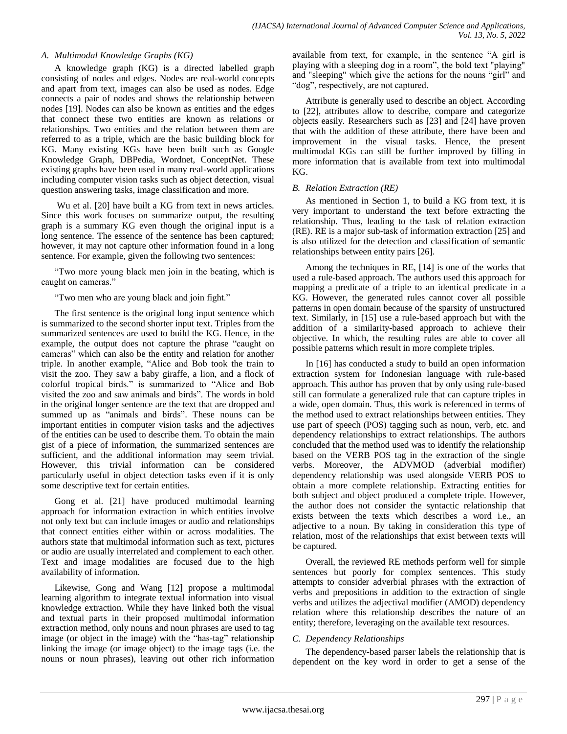# *A. Multimodal Knowledge Graphs (KG)*

A knowledge graph (KG) is a directed labelled graph consisting of nodes and edges. Nodes are real-world concepts and apart from text, images can also be used as nodes. Edge connects a pair of nodes and shows the relationship between nodes [19]. Nodes can also be known as entities and the edges that connect these two entities are known as relations or relationships. Two entities and the relation between them are referred to as a triple, which are the basic building block for KG. Many existing KGs have been built such as Google Knowledge Graph, DBPedia, Wordnet, ConceptNet. These existing graphs have been used in many real-world applications including computer vision tasks such as object detection, visual question answering tasks, image classification and more.

Wu et al. [20] have built a KG from text in news articles. Since this work focuses on summarize output, the resulting graph is a summary KG even though the original input is a long sentence. The essence of the sentence has been captured; however, it may not capture other information found in a long sentence. For example, given the following two sentences:

"Two more young black men join in the beating, which is caught on cameras."

"Two men who are young black and join fight."

The first sentence is the original long input sentence which is summarized to the second shorter input text. Triples from the summarized sentences are used to build the KG. Hence, in the example, the output does not capture the phrase "caught on cameras" which can also be the entity and relation for another triple. In another example, "Alice and Bob took the train to visit the zoo. They saw a baby giraffe, a lion, and a flock of colorful tropical birds." is summarized to "Alice and Bob visited the zoo and saw animals and birds". The words in bold in the original longer sentence are the text that are dropped and summed up as "animals and birds". These nouns can be important entities in computer vision tasks and the adjectives of the entities can be used to describe them. To obtain the main gist of a piece of information, the summarized sentences are sufficient, and the additional information may seem trivial. However, this trivial information can be considered particularly useful in object detection tasks even if it is only some descriptive text for certain entities.

Gong et al. [21] have produced multimodal learning approach for information extraction in which entities involve not only text but can include images or audio and relationships that connect entities either within or across modalities. The authors state that multimodal information such as text, pictures or audio are usually interrelated and complement to each other. Text and image modalities are focused due to the high availability of information.

Likewise, Gong and Wang [12] propose a multimodal learning algorithm to integrate textual information into visual knowledge extraction. While they have linked both the visual and textual parts in their proposed multimodal information extraction method, only nouns and noun phrases are used to tag image (or object in the image) with the "has-tag" relationship linking the image (or image object) to the image tags (i.e. the nouns or noun phrases), leaving out other rich information available from text, for example, in the sentence "A girl is playing with a sleeping dog in a room", the bold text "playing" and "sleeping" which give the actions for the nouns "girl" and "dog", respectively, are not captured.

Attribute is generally used to describe an object. According to [22], attributes allow to describe, compare and categorize objects easily. Researchers such as [23] and [24] have proven that with the addition of these attribute, there have been and improvement in the visual tasks. Hence, the present multimodal KGs can still be further improved by filling in more information that is available from text into multimodal KG.

# *B. Relation Extraction (RE)*

As mentioned in Section 1, to build a KG from text, it is very important to understand the text before extracting the relationship. Thus, leading to the task of relation extraction (RE). RE is a major sub-task of information extraction [25] and is also utilized for the detection and classification of semantic relationships between entity pairs [26].

Among the techniques in RE, [14] is one of the works that used a rule-based approach. The authors used this approach for mapping a predicate of a triple to an identical predicate in a KG. However, the generated rules cannot cover all possible patterns in open domain because of the sparsity of unstructured text. Similarly, in [15] use a rule-based approach but with the addition of a similarity-based approach to achieve their objective. In which, the resulting rules are able to cover all possible patterns which result in more complete triples.

In [16] has conducted a study to build an open information extraction system for Indonesian language with rule-based approach. This author has proven that by only using rule-based still can formulate a generalized rule that can capture triples in a wide, open domain. Thus, this work is referenced in terms of the method used to extract relationships between entities. They use part of speech (POS) tagging such as noun, verb, etc. and dependency relationships to extract relationships. The authors concluded that the method used was to identify the relationship based on the VERB POS tag in the extraction of the single verbs. Moreover, the ADVMOD (adverbial modifier) dependency relationship was used alongside VERB POS to obtain a more complete relationship. Extracting entities for both subject and object produced a complete triple. However, the author does not consider the syntactic relationship that exists between the texts which describes a word i.e., an adjective to a noun. By taking in consideration this type of relation, most of the relationships that exist between texts will be captured.

Overall, the reviewed RE methods perform well for simple sentences but poorly for complex sentences. This study attempts to consider adverbial phrases with the extraction of verbs and prepositions in addition to the extraction of single verbs and utilizes the adjectival modifier (AMOD) dependency relation where this relationship describes the nature of an entity; therefore, leveraging on the available text resources.

# *C. Dependency Relationships*

The dependency-based parser labels the relationship that is dependent on the key word in order to get a sense of the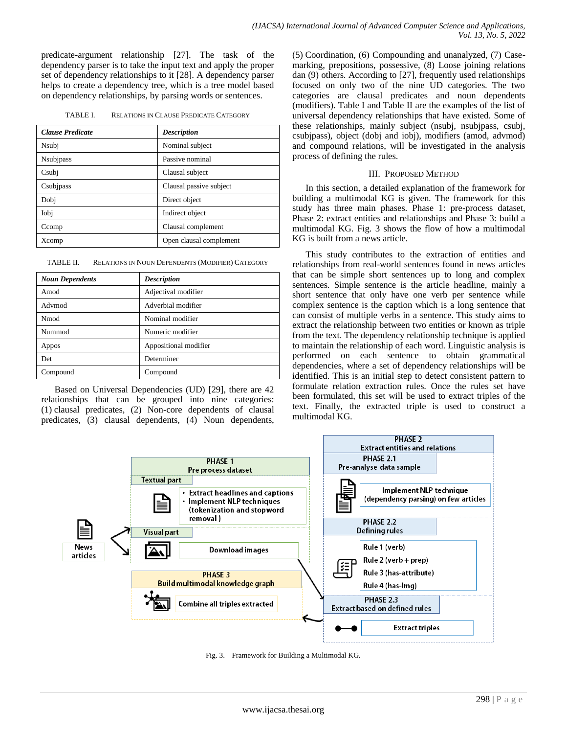predicate-argument relationship [27]. The task of the dependency parser is to take the input text and apply the proper set of dependency relationships to it [28]. A dependency parser helps to create a dependency tree, which is a tree model based on dependency relationships, by parsing words or sentences.

| TABLE I. | <b>RELATIONS IN CLAUSE PREDICATE CATEGORY</b> |  |  |
|----------|-----------------------------------------------|--|--|
|          |                                               |  |  |

| <b>Clause Predicate</b> | <b>Description</b>      |
|-------------------------|-------------------------|
| Nsubj                   | Nominal subject         |
| <b>N</b> subjpass       | Passive nominal         |
| Csubj                   | Clausal subject         |
| Csubjpass               | Clausal passive subject |
| Dobj                    | Direct object           |
| Iobi                    | Indirect object         |
| Ccomp                   | Clausal complement      |
| Xcomp                   | Open clausal complement |

TABLE II. RELATIONS IN NOUN DEPENDENTS (MODIFIER) CATEGORY

| <b>Noun Dependents</b> | <b>Description</b>    |
|------------------------|-----------------------|
| Amod                   | Adjectival modifier   |
| Advmod                 | Adverbial modifier    |
| Nmod                   | Nominal modifier      |
| Nummod                 | Numeric modifier      |
| Appos                  | Appositional modifier |
| Det                    | Determiner            |
| Compound               | Compound              |

Based on Universal Dependencies (UD) [29], there are 42 relationships that can be grouped into nine categories: (1) clausal predicates, (2) Non-core dependents of clausal predicates, (3) clausal dependents, (4) Noun dependents, (5) Coordination, (6) Compounding and unanalyzed, (7) Casemarking, prepositions, possessive, (8) Loose joining relations dan (9) others. According to [27], frequently used relationships focused on only two of the nine UD categories. The two categories are clausal predicates and noun dependents (modifiers). Table I and Table II are the examples of the list of universal dependency relationships that have existed. Some of these relationships, mainly subject (nsubj, nsubjpass, csubj, csubjpass), object (dobj and iobj), modifiers (amod, advmod) and compound relations, will be investigated in the analysis process of defining the rules.

# III. PROPOSED METHOD

In this section, a detailed explanation of the framework for building a multimodal KG is given. The framework for this study has three main phases. Phase 1: pre-process dataset, Phase 2: extract entities and relationships and Phase 3: build a multimodal KG. Fig. 3 shows the flow of how a multimodal KG is built from a news article.

This study contributes to the extraction of entities and relationships from real-world sentences found in news articles that can be simple short sentences up to long and complex sentences. Simple sentence is the article headline, mainly a short sentence that only have one verb per sentence while complex sentence is the caption which is a long sentence that can consist of multiple verbs in a sentence. This study aims to extract the relationship between two entities or known as triple from the text. The dependency relationship technique is applied to maintain the relationship of each word. Linguistic analysis is performed on each sentence to obtain grammatical dependencies, where a set of dependency relationships will be identified. This is an initial step to detect consistent pattern to formulate relation extraction rules. Once the rules set have been formulated, this set will be used to extract triples of the text. Finally, the extracted triple is used to construct a multimodal KG.



Fig. 3. Framework for Building a Multimodal KG.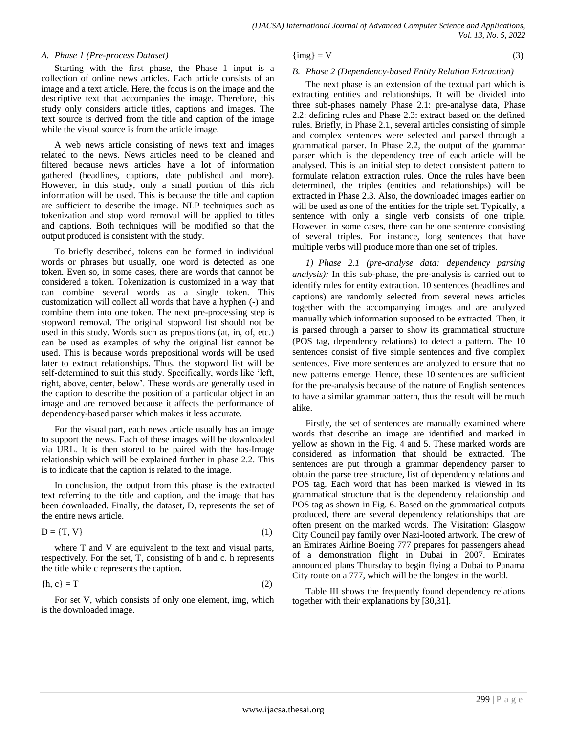### *A. Phase 1 (Pre-process Dataset)*

Starting with the first phase, the Phase 1 input is a collection of online news articles. Each article consists of an image and a text article. Here, the focus is on the image and the descriptive text that accompanies the image. Therefore, this study only considers article titles, captions and images. The text source is derived from the title and caption of the image while the visual source is from the article image.

A web news article consisting of news text and images related to the news. News articles need to be cleaned and filtered because news articles have a lot of information gathered (headlines, captions, date published and more). However, in this study, only a small portion of this rich information will be used. This is because the title and caption are sufficient to describe the image. NLP techniques such as tokenization and stop word removal will be applied to titles and captions. Both techniques will be modified so that the output produced is consistent with the study.

To briefly described, tokens can be formed in individual words or phrases but usually, one word is detected as one token. Even so, in some cases, there are words that cannot be considered a token. Tokenization is customized in a way that can combine several words as a single token. This customization will collect all words that have a hyphen (-) and combine them into one token. The next pre-processing step is stopword removal. The original stopword list should not be used in this study. Words such as prepositions (at, in, of, etc.) can be used as examples of why the original list cannot be used. This is because words prepositional words will be used later to extract relationships. Thus, the stopword list will be self-determined to suit this study. Specifically, words like "left, right, above, center, below'. These words are generally used in the caption to describe the position of a particular object in an image and are removed because it affects the performance of dependency-based parser which makes it less accurate.

For the visual part, each news article usually has an image to support the news. Each of these images will be downloaded via URL. It is then stored to be paired with the has-Image relationship which will be explained further in phase 2.2. This is to indicate that the caption is related to the image.

In conclusion, the output from this phase is the extracted text referring to the title and caption, and the image that has been downloaded. Finally, the dataset, D, represents the set of the entire news article.

$$
D = \{T, V\} \tag{1}
$$

where T and V are equivalent to the text and visual parts, respectively. For the set, T, consisting of h and c. h represents the title while c represents the caption.

$$
\{h, c\} = T \tag{2}
$$

For set V, which consists of only one element, img, which is the downloaded image.

# ${\rm \{img\}} = V$  (3)

## *B. Phase 2 (Dependency-based Entity Relation Extraction)*

The next phase is an extension of the textual part which is extracting entities and relationships. It will be divided into three sub-phases namely Phase 2.1: pre-analyse data, Phase 2.2: defining rules and Phase 2.3: extract based on the defined rules. Briefly, in Phase 2.1, several articles consisting of simple and complex sentences were selected and parsed through a grammatical parser. In Phase 2.2, the output of the grammar parser which is the dependency tree of each article will be analysed. This is an initial step to detect consistent pattern to formulate relation extraction rules. Once the rules have been determined, the triples (entities and relationships) will be extracted in Phase 2.3. Also, the downloaded images earlier on will be used as one of the entities for the triple set. Typically, a sentence with only a single verb consists of one triple. However, in some cases, there can be one sentence consisting of several triples. For instance, long sentences that have multiple verbs will produce more than one set of triples.

*1) Phase 2.1 (pre-analyse data: dependency parsing analysis):* In this sub-phase, the pre-analysis is carried out to identify rules for entity extraction. 10 sentences (headlines and captions) are randomly selected from several news articles together with the accompanying images and are analyzed manually which information supposed to be extracted. Then, it is parsed through a parser to show its grammatical structure (POS tag, dependency relations) to detect a pattern. The 10 sentences consist of five simple sentences and five complex sentences. Five more sentences are analyzed to ensure that no new patterns emerge. Hence, these 10 sentences are sufficient for the pre-analysis because of the nature of English sentences to have a similar grammar pattern, thus the result will be much alike.

Firstly, the set of sentences are manually examined where words that describe an image are identified and marked in yellow as shown in the Fig. 4 and 5. These marked words are considered as information that should be extracted. The sentences are put through a grammar dependency parser to obtain the parse tree structure, list of dependency relations and POS tag. Each word that has been marked is viewed in its grammatical structure that is the dependency relationship and POS tag as shown in Fig. 6. Based on the grammatical outputs produced, there are several dependency relationships that are often present on the marked words. The Visitation: Glasgow City Council pay family over Nazi-looted artwork. The crew of an Emirates Airline Boeing 777 prepares for passengers ahead of a demonstration flight in Dubai in 2007. Emirates announced plans Thursday to begin flying a Dubai to Panama City route on a 777, which will be the longest in the world.

Table III shows the frequently found dependency relations together with their explanations by [30,31].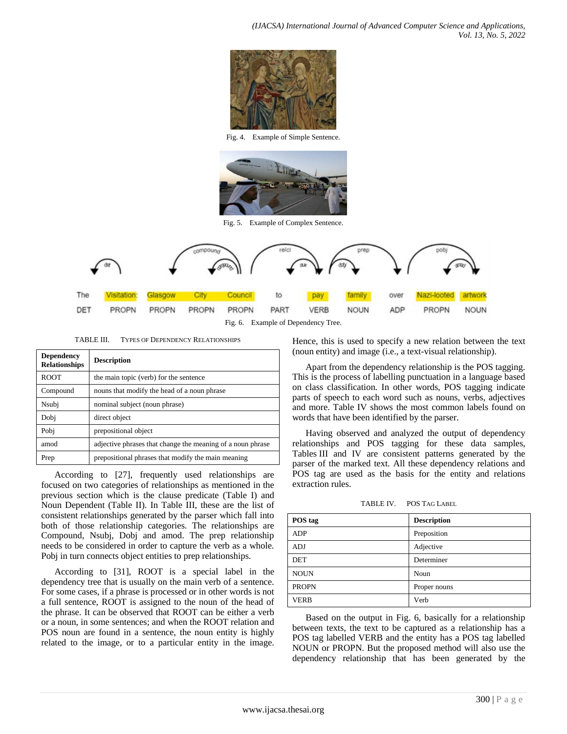*(IJACSA) International Journal of Advanced Computer Science and Applications, Vol. 13, No. 5, 2022*



Fig. 4. Example of Simple Sentence.



Fig. 5. Example of Complex Sentence.



TABLE III. TYPES OF DEPENDENCY RELATIONSHIPS

| <b>Dependency</b><br><b>Relationships</b> | <b>Description</b>                                         |
|-------------------------------------------|------------------------------------------------------------|
| <b>ROOT</b>                               | the main topic (verb) for the sentence                     |
| Compound                                  | nouns that modify the head of a noun phrase                |
| Nsubj                                     | nominal subject (noun phrase)                              |
| Dobj                                      | direct object                                              |
| Pobi                                      | prepositional object                                       |
| amod                                      | adjective phrases that change the meaning of a noun phrase |
| Prep                                      | prepositional phrases that modify the main meaning         |

According to [27], frequently used relationships are focused on two categories of relationships as mentioned in the previous section which is the clause predicate (Table I) and Noun Dependent (Table II). In Table III, these are the list of consistent relationships generated by the parser which fall into both of those relationship categories. The relationships are Compound, Nsubj, Dobj and amod. The prep relationship needs to be considered in order to capture the verb as a whole. Pobj in turn connects object entities to prep relationships.

According to [31], ROOT is a special label in the dependency tree that is usually on the main verb of a sentence. For some cases, if a phrase is processed or in other words is not a full sentence, ROOT is assigned to the noun of the head of the phrase. It can be observed that ROOT can be either a verb or a noun, in some sentences; and when the ROOT relation and POS noun are found in a sentence, the noun entity is highly related to the image, or to a particular entity in the image.

Hence, this is used to specify a new relation between the text (noun entity) and image (i.e., a text-visual relationship).

Apart from the dependency relationship is the POS tagging. This is the process of labelling punctuation in a language based on class classification. In other words, POS tagging indicate parts of speech to each word such as nouns, verbs, adjectives and more. Table IV shows the most common labels found on words that have been identified by the parser.

Having observed and analyzed the output of dependency relationships and POS tagging for these data samples, Tables III and IV are consistent patterns generated by the parser of the marked text. All these dependency relations and POS tag are used as the basis for the entity and relations extraction rules.

TABLE IV. POS TAG LABEL

| POS tag      | <b>Description</b> |
|--------------|--------------------|
| <b>ADP</b>   | Preposition        |
| ADJ          | Adjective          |
| <b>DET</b>   | Determiner         |
| <b>NOUN</b>  | Noun               |
| <b>PROPN</b> | Proper nouns       |
| <b>VERB</b>  | Verb               |

Based on the output in Fig. 6, basically for a relationship between texts, the text to be captured as a relationship has a POS tag labelled VERB and the entity has a POS tag labelled NOUN or PROPN. But the proposed method will also use the dependency relationship that has been generated by the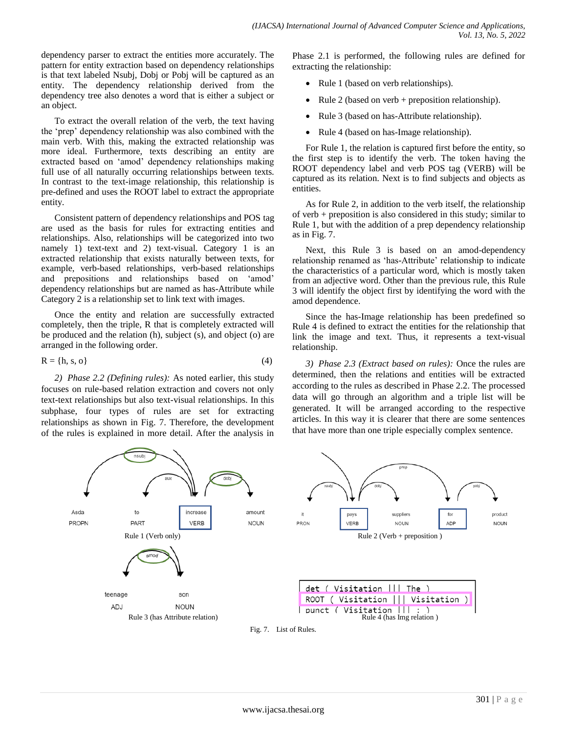dependency parser to extract the entities more accurately. The pattern for entity extraction based on dependency relationships is that text labeled Nsubj, Dobj or Pobj will be captured as an entity. The dependency relationship derived from the dependency tree also denotes a word that is either a subject or an object.

To extract the overall relation of the verb, the text having the "prep" dependency relationship was also combined with the main verb. With this, making the extracted relationship was more ideal. Furthermore, texts describing an entity are extracted based on "amod" dependency relationships making full use of all naturally occurring relationships between texts. In contrast to the text-image relationship, this relationship is pre-defined and uses the ROOT label to extract the appropriate entity.

Consistent pattern of dependency relationships and POS tag are used as the basis for rules for extracting entities and relationships. Also, relationships will be categorized into two namely 1) text-text and 2) text-visual. Category 1 is an extracted relationship that exists naturally between texts, for example, verb-based relationships, verb-based relationships and prepositions and relationships based on "amod" dependency relationships but are named as has-Attribute while Category 2 is a relationship set to link text with images.

Once the entity and relation are successfully extracted completely, then the triple, R that is completely extracted will be produced and the relation (h), subject (s), and object (o) are arranged in the following order.

$$
R = \{h, s, o\} \tag{4}
$$

*2) Phase 2.2 (Defining rules):* As noted earlier, this study focuses on rule-based relation extraction and covers not only text-text relationships but also text-visual relationships. In this subphase, four types of rules are set for extracting relationships as shown in Fig. 7. Therefore, the development of the rules is explained in more detail. After the analysis in Phase 2.1 is performed, the following rules are defined for extracting the relationship:

- Rule 1 (based on verb relationships).
- Rule 2 (based on verb + preposition relationship).
- Rule 3 (based on has-Attribute relationship).
- Rule 4 (based on has-Image relationship).

For Rule 1, the relation is captured first before the entity, so the first step is to identify the verb. The token having the ROOT dependency label and verb POS tag (VERB) will be captured as its relation. Next is to find subjects and objects as entities.

As for Rule 2, in addition to the verb itself, the relationship of verb + preposition is also considered in this study; similar to Rule 1, but with the addition of a prep dependency relationship as in Fig. 7.

Next, this Rule 3 is based on an amod-dependency relationship renamed as 'has-Attribute' relationship to indicate the characteristics of a particular word, which is mostly taken from an adjective word. Other than the previous rule, this Rule 3 will identify the object first by identifying the word with the amod dependence.

Since the has-Image relationship has been predefined so Rule 4 is defined to extract the entities for the relationship that link the image and text. Thus, it represents a text-visual relationship.

*3) Phase 2.3 (Extract based on rules):* Once the rules are determined, then the relations and entities will be extracted according to the rules as described in Phase 2.2. The processed data will go through an algorithm and a triple list will be generated. It will be arranged according to the respective articles. In this way it is clearer that there are some sentences that have more than one triple especially complex sentence.



Fig. 7. List of Rules.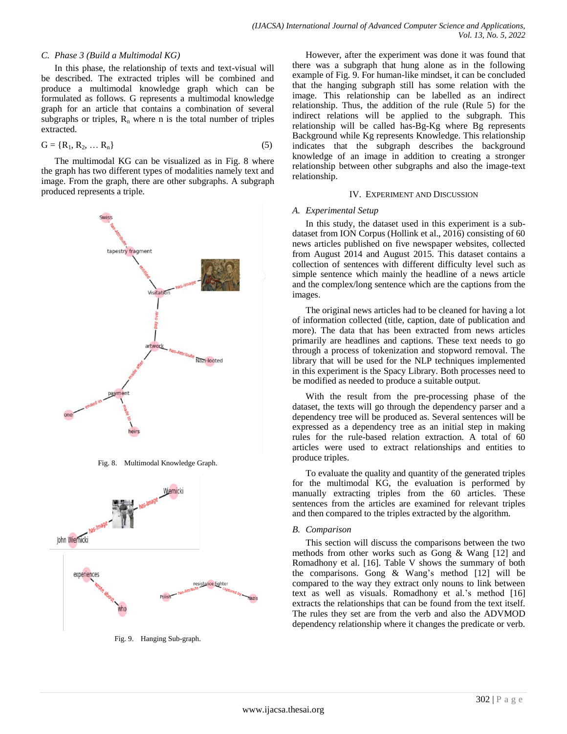### *C. Phase 3 (Build a Multimodal KG)*

In this phase, the relationship of texts and text-visual will be described. The extracted triples will be combined and produce a multimodal knowledge graph which can be formulated as follows. G represents a multimodal knowledge graph for an article that contains a combination of several subgraphs or triples,  $R_n$  where n is the total number of triples extracted.

$$
G = \{R_1, R_2, \dots R_n\}
$$
 (5)

The multimodal KG can be visualized as in Fig. 8 where the graph has two different types of modalities namely text and image. From the graph, there are other subgraphs. A subgraph produced represents a triple.



Fig. 8. Multimodal Knowledge Graph.



Fig. 9. Hanging Sub-graph.

However, after the experiment was done it was found that there was a subgraph that hung alone as in the following example of Fig. 9. For human-like mindset, it can be concluded that the hanging subgraph still has some relation with the image. This relationship can be labelled as an indirect relationship. Thus, the addition of the rule (Rule 5) for the indirect relations will be applied to the subgraph. This relationship will be called has-Bg-Kg where Bg represents Background while Kg represents Knowledge. This relationship indicates that the subgraph describes the background knowledge of an image in addition to creating a stronger relationship between other subgraphs and also the image-text relationship.

### IV. EXPERIMENT AND DISCUSSION

### *A. Experimental Setup*

In this study, the dataset used in this experiment is a subdataset from ION Corpus (Hollink et al., 2016) consisting of 60 news articles published on five newspaper websites, collected from August 2014 and August 2015. This dataset contains a collection of sentences with different difficulty level such as simple sentence which mainly the headline of a news article and the complex/long sentence which are the captions from the images.

The original news articles had to be cleaned for having a lot of information collected (title, caption, date of publication and more). The data that has been extracted from news articles primarily are headlines and captions. These text needs to go through a process of tokenization and stopword removal. The library that will be used for the NLP techniques implemented in this experiment is the Spacy Library. Both processes need to be modified as needed to produce a suitable output.

With the result from the pre-processing phase of the dataset, the texts will go through the dependency parser and a dependency tree will be produced as. Several sentences will be expressed as a dependency tree as an initial step in making rules for the rule-based relation extraction. A total of 60 articles were used to extract relationships and entities to produce triples.

To evaluate the quality and quantity of the generated triples for the multimodal KG, the evaluation is performed by manually extracting triples from the 60 articles. These sentences from the articles are examined for relevant triples and then compared to the triples extracted by the algorithm.

### *B. Comparison*

This section will discuss the comparisons between the two methods from other works such as Gong & Wang [12] and Romadhony et al. [16]. Table V shows the summary of both the comparisons. Gong  $& Wang's method [12] will be$ compared to the way they extract only nouns to link between text as well as visuals. Romadhony et al.'s method [16] extracts the relationships that can be found from the text itself. The rules they set are from the verb and also the ADVMOD dependency relationship where it changes the predicate or verb.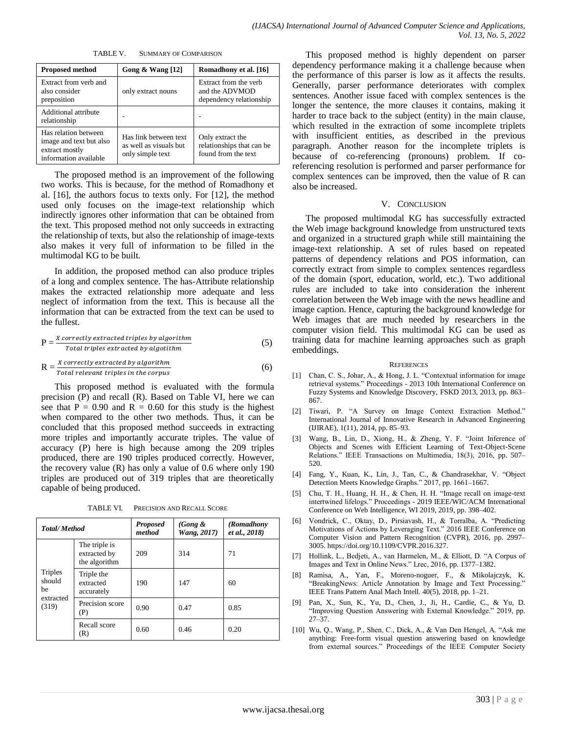TABLE V. SUMMARY OF COMPARISON

| <b>Proposed method</b>                                                                     | Gong $&$ Wang [12]                                                  | Romadhony et al. [16]                                                |
|--------------------------------------------------------------------------------------------|---------------------------------------------------------------------|----------------------------------------------------------------------|
| Extract from verb and<br>also consider<br>preposition                                      | only extract nouns                                                  | Extract from the verb<br>and the ADVMOD<br>dependency relationship   |
| Additional attribute<br>relationship                                                       |                                                                     |                                                                      |
| Has relation between<br>image and text but also<br>extract mostly<br>information available | Has link between text<br>as well as visuals but<br>only simple text | Only extract the<br>relationships that can be<br>found from the text |

The proposed method is an improvement of the following two works. This is because, for the method of Romadhony et al. [16], the authors focus to texts only. For [12], the method used only focuses on the image-text relationship which indirectly ignores other information that can be obtained from the text. This proposed method not only succeeds in extracting the relationship of texts, but also the relationship of image-texts also makes it very full of information to be filled in the multimodal KG to be built.

In addition, the proposed method can also produce triples of a long and complex sentence. The has-Attribute relationship makes the extracted relationship more adequate and less neglect of information from the text. This is because all the information that can be extracted from the text can be used to the fullest.

$$
P = \frac{X \, correctly \, extracted \, triples \, by \, algorithm}{Total \, triples \, extracted \, by \, algorithm} \tag{5}
$$

$$
R = \frac{X \, correctly \, extracted \, by \, algorithm}{Total \, relevant \, triples \, in \, the \, corpus} \tag{6}
$$

This proposed method is evaluated with the formula precision (P) and recall (R). Based on Table VI, here we can see that  $P = 0.90$  and  $R = 0.60$  for this study is the highest when compared to the other two methods. Thus, it can be concluded that this proposed method succeeds in extracting more triples and importantly accurate triples. The value of accuracy (P) here is high because among the 209 triples produced, there are 190 triples produced correctly. However, the recovery value (R) has only a value of 0.6 where only 190 triples are produced out of 319 triples that are theoretically capable of being produced.

TABLE VI. PRECISION AND RECALL SCORE

| <b>Total/Method</b>                                  |                                                | <b>Proposed</b><br>method | (Gong $\&$<br><b>Wang, 2017)</b> | (Romadhony<br>et al., 2018) |
|------------------------------------------------------|------------------------------------------------|---------------------------|----------------------------------|-----------------------------|
| <b>Triples</b><br>should<br>be<br>extracted<br>(319) | The triple is<br>extracted by<br>the algorithm | 209                       | 314                              | 71                          |
|                                                      | Triple the<br>extracted<br>accurately          | 190                       | 147                              | 60                          |
|                                                      | Precision score<br>(P)                         | 0.90                      | 0.47                             | 0.85                        |
|                                                      | Recall score<br>(R)                            | 0.60                      | 0.46                             | 0.20                        |

This proposed method is highly dependent on parser dependency performance making it a challenge because when the performance of this parser is low as it affects the results. Generally, parser performance deteriorates with complex sentences. Another issue faced with complex sentences is the longer the sentence, the more clauses it contains, making it harder to trace back to the subject (entity) in the main clause, which resulted in the extraction of some incomplete triplets with insufficient entities, as described in the previous paragraph. Another reason for the incomplete triplets is because of co-referencing (pronouns) problem. If coreferencing resolution is performed and parser performance for complex sentences can be improved, then the value of R can also be increased.

### V. CONCLUSION

The proposed multimodal KG has successfully extracted the Web image background knowledge from unstructured texts and organized in a structured graph while still maintaining the image-text relationship. A set of rules based on repeated patterns of dependency relations and POS information, can correctly extract from simple to complex sentences regardless of the domain (sport, education, world, etc.). Two additional rules are included to take into consideration the inherent correlation between the Web image with the news headline and image caption. Hence, capturing the background knowledge for Web images that are much needed by researchers in the computer vision field. This multimodal KG can be used as training data for machine learning approaches such as graph embeddings.

#### **REFERENCES**

- [1] Chan, C. S., Johar, A., & Hong, J. L. "Contextual information for image retrieval systems." Proceedings - 2013 10th International Conference on Fuzzy Systems and Knowledge Discovery, FSKD 2013, 2013, pp. 863– 867.
- [2] Tiwari, P. "A Survey on Image Context Extraction Method." International Journal of Innovative Research in Advanced Engineering (IJIRAE), 1(11), 2014, pp. 85–93.
- [3] Wang, B., Lin, D., Xiong, H., & Zheng, Y. F. "Joint Inference of Objects and Scenes with Efficient Learning of Text-Object-Scene Relations." IEEE Transactions on Multimedia, 18(3), 2016, pp. 507– 520.
- [4] Fang, Y., Kuan, K., Lin, J., Tan, C., & Chandrasekhar, V. "Object Detection Meets Knowledge Graphs." 2017, pp. 1661–1667.
- [5] Chu, T. H., Huang, H. H., & Chen, H. H. "Image recall on image-text intertwined lifelogs." Proceedings - 2019 IEEE/WIC/ACM International Conference on Web Intelligence, WI 2019, 2019, pp. 398–402.
- [6] Vondrick, C., Oktay, D., Pirsiavash, H., & Torralba, A. "Predicting Motivations of Actions by Leveraging Text." 2016 IEEE Conference on Computer Vision and Pattern Recognition (CVPR), 2016, pp. 2997– 3005. https://doi.org/10.1109/CVPR.2016.327.
- [7] Hollink, L., Bedjeti, A., van Harmelen, M., & Elliott, D. "A Corpus of Images and Text in Online News." Lrec, 2016, pp. 1377–1382.
- [8] Ramisa, A., Yan, F., Moreno-noguer, F., & Mikolajczyk, K. "BreakingNews: Article Annotation by Image and Text Processing." IEEE Trans Pattern Anal Mach Intell. 40(5), 2018, pp. 1–21.
- [9] Pan, X., Sun, K., Yu, D., Chen, J., Ji, H., Cardie, C., & Yu, D. "Improving Question Answering with External Knowledge." 2019, pp. 27–37.
- [10] Wu, Q., Wang, P., Shen, C., Dick, A., & Van Den Hengel, A. "Ask me anything: Free-form visual question answering based on knowledge from external sources." Proceedings of the IEEE Computer Society